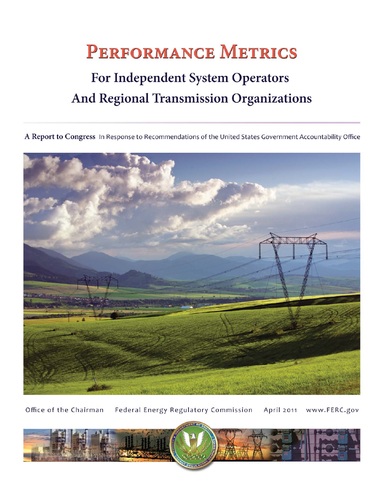# **PERFORMANCE METRICS**

## For Independent System Operators And Regional Transmission Organizations

A Report to Congress In Response to Recommendations of the United States Government Accountability Office



Office of the Chairman Federal Energy Regulatory Commission April 2011 www.FERC.gov

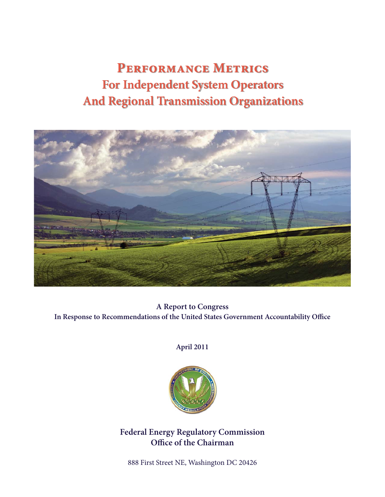## **Performance Metrics For Independent System Operators And Regional Transmission Organizations**



**A Report to Congress** In Response to Recommendations of the United States Government Accountability Office

**April 2011**



**Federal Energy Regulatory Commission Office of the Chairman** 

888 First Street NE, Washington DC 20426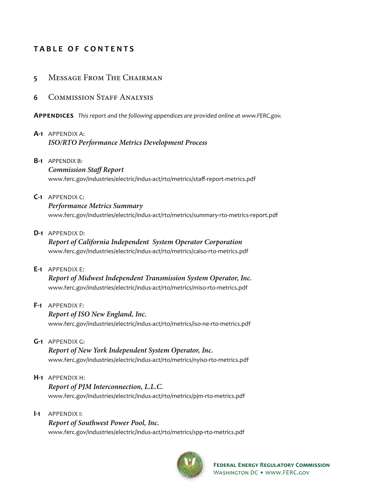## **T A B L E O F C ONTENTS**

### **5** Message From The Chairman

### **6** COMMISSION STAFF ANALYSIS

**APPENDICES** *This report and the following appendices are provided online at www.FERC.gov.*

#### **A-1** APPENDIX A:  *ISO/RTO Performance Metrics Development Process*

**B-1** APPENDIX B:

#### *Commission Staff Report*

www.ferc.gov/industries/electric/indus-act/rto/metrics/staff -report-metrics.pdf

**C-1** APPENDIX C:

#### *Performance Metrics Summary*

www.ferc.gov/industries/electric/indus-act/rto/metrics/summary-rto-metrics-report.pdf

**D-1** APPENDIX D:

 *Report of California Independent System Operator Corporation* www.ferc.gov/industries/electric/indus-act/rto/metrics/caiso-rto-metrics.pdf

**E-1** APPENDIX E:

 *Report of Midwest Independent Transmission System Operator, Inc.* www.ferc.gov/industries/electric/indus-act/rto/metrics/miso-rto-metrics.pdf

**F-1** APPENDIX F:

#### *Report of ISO New England, Inc.*

www.ferc.gov/industries/electric/indus-act/rto/metrics/iso-ne-rto-metrics.pdf

**G-1** APPENDIX G:

 *Report of New York Independent System Operator, Inc.* www.ferc.gov/industries/electric/indus-act/rto/metrics/nyiso-rto-metrics.pdf

- **H-1** APPENDIX H:  *Report of PJM Interconnection, L.L.C.* www.ferc.gov/industries/electric/indus-act/rto/metrics/pjm-rto-metrics.pdf
- **I-1** APPENDIX I:  *Report of Southwest Power Pool, Inc.* www.ferc.gov/industries/electric/indus-act/rto/metrics/spp-rto-metrics.pdf

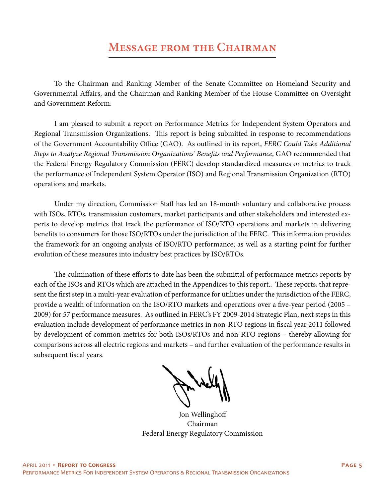## **Message from the Chairman**

To the Chairman and Ranking Member of the Senate Committee on Homeland Security and Governmental Affairs, and the Chairman and Ranking Member of the House Committee on Oversight and Government Reform:

I am pleased to submit a report on Performance Metrics for Independent System Operators and Regional Transmission Organizations. This report is being submitted in response to recommendations of the Government Accountability Office (GAO). As outlined in its report, *FERC Could Take Additional* Steps to Analyze Regional Transmission Organizations' Benefits and Performance, GAO recommended that the Federal Energy Regulatory Commission (FERC) develop standardized measures or metrics to track the performance of Independent System Operator (ISO) and Regional Transmission Organization (RTO) operations and markets.

Under my direction, Commission Staff has led an 18-month voluntary and collaborative process with ISOs, RTOs, transmission customers, market participants and other stakeholders and interested experts to develop metrics that track the performance of ISO/RTO operations and markets in delivering benefits to consumers for those ISO/RTOs under the jurisdiction of the FERC. This information provides the framework for an ongoing analysis of ISO/RTO performance; as well as a starting point for further evolution of these measures into industry best practices by ISO/RTOs.

The culmination of these efforts to date has been the submittal of performance metrics reports by each of the ISOs and RTOs which are attached in the Appendices to this report.. These reports, that represent the first step in a multi-year evaluation of performance for utilities under the jurisdiction of the FERC, provide a wealth of information on the ISO/RTO markets and operations over a five-year period (2005 – 2009) for 57 performance measures. As outlined in FERC's FY 2009-2014 Strategic Plan, next steps in this evaluation include development of performance metrics in non-RTO regions in fiscal year 2011 followed by development of common metrics for both ISOs/RTOs and non-RTO regions – thereby allowing for comparisons across all electric regions and markets – and further evaluation of the performance results in subsequent fiscal years.

Jon Wellinghoff Chairman Federal Energy Regulatory Commission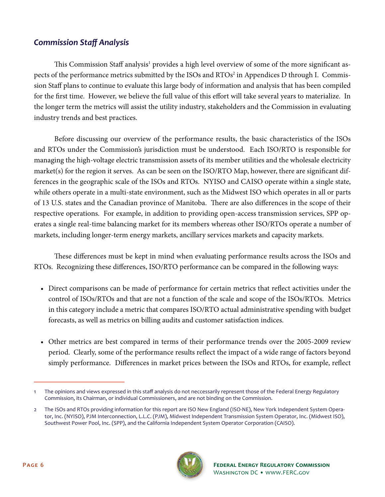## *Commission Staff Analysis*

This Commission Staff analysis<sup>1</sup> provides a high level overview of some of the more significant aspects of the performance metrics submitted by the ISOs and RTOs<sup>2</sup> in Appendices D through I. Commission Staff plans to continue to evaluate this large body of information and analysis that has been compiled for the first time. However, we believe the full value of this effort will take several years to materialize. In the longer term the metrics will assist the utility industry, stakeholders and the Commission in evaluating industry trends and best practices.

Before discussing our overview of the performance results, the basic characteristics of the ISOs and RTOs under the Commission's jurisdiction must be understood. Each ISO/RTO is responsible for managing the high-voltage electric transmission assets of its member utilities and the wholesale electricity market(s) for the region it serves. As can be seen on the ISO/RTO Map, however, there are significant differences in the geographic scale of the ISOs and RTOs. NYISO and CAISO operate within a single state, while others operate in a multi-state environment, such as the Midwest ISO which operates in all or parts of 13 U.S. states and the Canadian province of Manitoba. There are also differences in the scope of their respective operations. For example, in addition to providing open-access transmission services, SPP operates a single real-time balancing market for its members whereas other ISO/RTOs operate a number of markets, including longer-term energy markets, ancillary services markets and capacity markets.

These differences must be kept in mind when evaluating performance results across the ISOs and RTOs. Recognizing these differences, ISO/RTO performance can be compared in the following ways:

- Direct comparisons can be made of performance for certain metrics that reflect activities under the control of ISOs/RTOs and that are not a function of the scale and scope of the ISOs/RTOs. Metrics in this category include a metric that compares ISO/RTO actual administrative spending with budget forecasts, as well as metrics on billing audits and customer satisfaction indices.
- Other metrics are best compared in terms of their performance trends over the 2005-2009 review period. Clearly, some of the performance results reflect the impact of a wide range of factors beyond simply performance. Differences in market prices between the ISOs and RTOs, for example, reflect

<sup>2</sup> The ISOs and RTOs providing information for this report are ISO New England (ISO-NE), New York Independent System Operator, Inc. (NYISO), PJM Interconnection, L.L.C. (PJM), Midwest Independent Transmission System Operator, Inc. (Midwest ISO), Southwest Power Pool, Inc. (SPP), and the California Independent System Operator Corporation (CAISO).



<sup>1</sup> The opinions and views expressed in this staff analysis do not neccessarily represent those of the Federal Energy Regulatory Commission, its Chairman, or individual Commissioners, and are not binding on the Commission.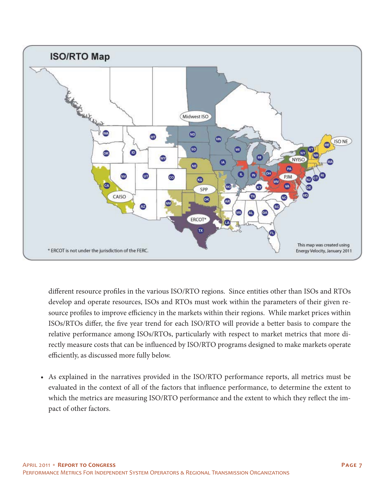

different resource profiles in the various ISO/RTO regions. Since entities other than ISOs and RTOs develop and operate resources, ISOs and RTOs must work within the parameters of their given resource profiles to improve efficiency in the markets within their regions. While market prices within ISOs/RTOs differ, the five year trend for each ISO/RTO will provide a better basis to compare the relative performance among ISOs/RTOs, particularly with respect to market metrics that more directly measure costs that can be influenced by ISO/RTO programs designed to make markets operate efficiently, as discussed more fully below.

• As explained in the narratives provided in the ISO/RTO performance reports, all metrics must be evaluated in the context of all of the factors that influence performance, to determine the extent to which the metrics are measuring ISO/RTO performance and the extent to which they reflect the impact of other factors.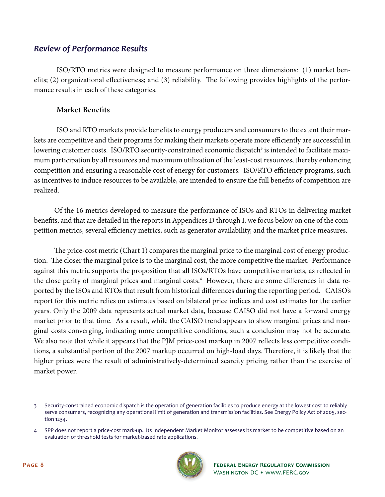## *Review of Performance Results*

 ISO/RTO metrics were designed to measure performance on three dimensions: (1) market benefits; (2) organizational effectiveness; and (3) reliability. The following provides highlights of the performance results in each of these categories.

## **Market Benefits**

ISO and RTO markets provide benefits to energy producers and consumers to the extent their markets are competitive and their programs for making their markets operate more efficiently are successful in lowering customer costs. ISO/RTO security-constrained economic dispatch<sup>3</sup> is intended to facilitate maximum participation by all resources and maximum utilization of the least-cost resources, thereby enhancing competition and ensuring a reasonable cost of energy for customers. ISO/RTO efficiency programs, such as incentives to induce resources to be available, are intended to ensure the full benefits of competition are realized.

Of the 16 metrics developed to measure the performance of ISOs and RTOs in delivering market benefits, and that are detailed in the reports in Appendices D through I, we focus below on one of the competition metrics, several efficiency metrics, such as generator availability, and the market price measures.

The price-cost metric (Chart 1) compares the marginal price to the marginal cost of energy production. The closer the marginal price is to the marginal cost, the more competitive the market. Performance against this metric supports the proposition that all ISOs/RTOs have competitive markets, as reflected in the close parity of marginal prices and marginal costs.<sup>4</sup> However, there are some differences in data reported by the ISOs and RTOs that result from historical differences during the reporting period. CAISO's report for this metric relies on estimates based on bilateral price indices and cost estimates for the earlier years. Only the 2009 data represents actual market data, because CAISO did not have a forward energy market prior to that time. As a result, while the CAISO trend appears to show marginal prices and marginal costs converging, indicating more competitive conditions, such a conclusion may not be accurate. We also note that while it appears that the PJM price-cost markup in 2007 reflects less competitive conditions, a substantial portion of the 2007 markup occurred on high-load days. Therefore, it is likely that the higher prices were the result of administratively-determined scarcity pricing rather than the exercise of market power.

<sup>4</sup> SPP does not report a price-cost mark-up. Its Independent Market Monitor assesses its market to be competitive based on an evaluation of threshold tests for market-based rate applications.



<sup>3</sup> Security-constrained economic dispatch is the operation of generation facilities to produce energy at the lowest cost to reliably serve consumers, recognizing any operational limit of generation and transmission facilities. See Energy Policy Act of 2005, section 1234.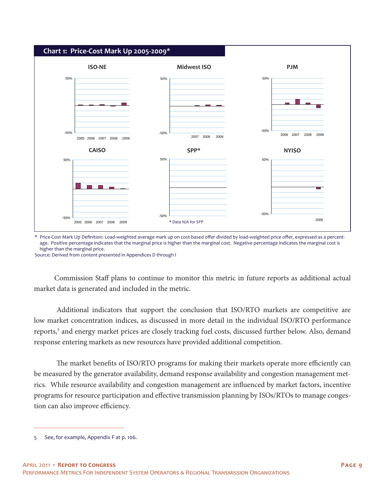

\* Price-Cost Mark Up Definition: Load-weighted average mark up on cost-based offer divided by load-weighted price offer, expressed as a percentage. Positive percentage indicates that the marginal price is higher than the marginal cost. Negative percentage indicates the marginal cost is higher than the marginal price.

Source: Derived from content presented in Appendices D through I

Commission Staff plans to continue to monitor this metric in future reports as additional actual market data is generated and included in the metric.

 Additional indicators that support the conclusion that ISO/RTO markets are competitive are low market concentration indices, as discussed in more detail in the individual ISO/RTO performance reports,<sup>5</sup> and energy market prices are closely tracking fuel costs, discussed further below. Also, demand response entering markets as new resources have provided additional competition.

The market benefits of ISO/RTO programs for making their markets operate more efficiently can be measured by the generator availability, demand response availability and congestion management metrics. While resource availability and congestion management are influenced by market factors, incentive programs for resource participation and effective transmission planning by ISOs/RTOs to manage congestion can also improve efficiency.

<sup>5</sup> See, for example, Appendix F at p. 106.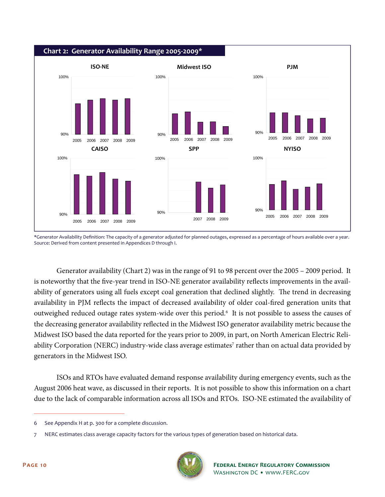

\*Generator Availability Definition: The capacity of a generator adjusted for planned outages, expressed as a percentage of hours available over a year. Source: Derived from content presented in Appendices D through I.

 Generator availability (Chart 2) was in the range of 91 to 98 percent over the 2005 – 2009 period. It is noteworthy that the five-year trend in ISO-NE generator availability reflects improvements in the availability of generators using all fuels except coal generation that declined slightly. The trend in decreasing availability in PJM reflects the impact of decreased availability of older coal-fired generation units that outweighed reduced outage rates system-wide over this period.<sup>6</sup> It is not possible to assess the causes of the decreasing generator availability reflected in the Midwest ISO generator availability metric because the Midwest ISO based the data reported for the years prior to 2009, in part, on North American Electric Reliability Corporation (NERC) industry-wide class average estimates<sup>7</sup> rather than on actual data provided by generators in the Midwest ISO.

 ISOs and RTOs have evaluated demand response availability during emergency events, such as the August 2006 heat wave, as discussed in their reports. It is not possible to show this information on a chart due to the lack of comparable information across all ISOs and RTOs. ISO-NE estimated the availability of

<sup>7</sup> NERC estimates class average capacity factors for the various types of generation based on historical data.



<sup>6</sup> See Appendix H at p. 300 for a complete discussion.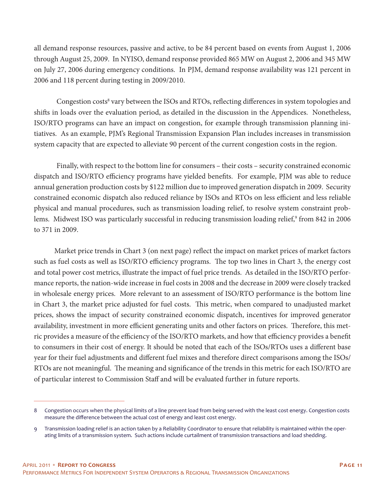all demand response resources, passive and active, to be 84 percent based on events from August 1, 2006 through August 25, 2009. In NYISO, demand response provided 865 MW on August 2, 2006 and 345 MW on July 27, 2006 during emergency conditions. In PJM, demand response availability was 121 percent in 2006 and 118 percent during testing in 2009/2010.

Congestion costs<sup>8</sup> vary between the ISOs and RTOs, reflecting differences in system topologies and shifts in loads over the evaluation period, as detailed in the discussion in the Appendices. Nonetheless, ISO/RTO programs can have an impact on congestion, for example through transmission planning initiatives. As an example, PJM's Regional Transmission Expansion Plan includes increases in transmission system capacity that are expected to alleviate 90 percent of the current congestion costs in the region.

 Finally, with respect to the bottom line for consumers – their costs – security constrained economic dispatch and ISO/RTO efficiency programs have yielded benefits. For example, PJM was able to reduce annual generation production costs by \$122 million due to improved generation dispatch in 2009. Security constrained economic dispatch also reduced reliance by ISOs and RTOs on less efficient and less reliable physical and manual procedures, such as transmission loading relief, to resolve system constraint problems. Midwest ISO was particularly successful in reducing transmission loading relief,<sup>9</sup> from 842 in 2006 to 371 in 2009.

Market price trends in Chart 3 (on next page) reflect the impact on market prices of market factors such as fuel costs as well as ISO/RTO efficiency programs. The top two lines in Chart 3, the energy cost and total power cost metrics, illustrate the impact of fuel price trends. As detailed in the ISO/RTO performance reports, the nation-wide increase in fuel costs in 2008 and the decrease in 2009 were closely tracked in wholesale energy prices. More relevant to an assessment of ISO/RTO performance is the bottom line in Chart 3, the market price adjusted for fuel costs. This metric, when compared to unadjusted market prices, shows the impact of security constrained economic dispatch, incentives for improved generator availability, investment in more efficient generating units and other factors on prices. Therefore, this metric provides a measure of the efficiency of the ISO/RTO markets, and how that efficiency provides a benefit to consumers in their cost of energy. It should be noted that each of the ISOs/RTOs uses a different base year for their fuel adjustments and different fuel mixes and therefore direct comparisons among the ISOs/ RTOs are not meaningful. The meaning and significance of the trends in this metric for each ISO/RTO are of particular interest to Commission Staff and will be evaluated further in future reports.

<sup>8</sup> Congestion occurs when the physical limits of a line prevent load from being served with the least cost energy. Congestion costs measure the difference between the actual cost of energy and least cost energy.

<sup>9</sup> Transmission loading relief is an action taken by a Reliability Coordinator to ensure that reliability is maintained within the operating limits of a transmission system. Such actions include curtailment of transmission transactions and load shedding.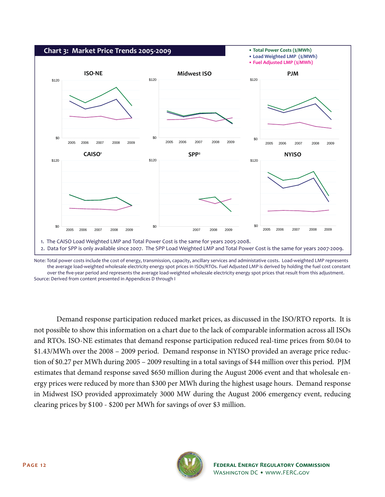

Note: Total power costs include the cost of energy, transmission, capacity, ancillary services and administative costs. Load-weighted LMP represents the average load-weighted wholesale electricity energy spot prices in ISOs/RTOs. Fuel Adjusted LMP is derived by holding the fuel cost constant over the five-year period and represents the average load-weighted wholesale electricity energy spot prices that result from this adjustment. Source: Derived from content presented in Appendices D through I

 Demand response participation reduced market prices, as discussed in the ISO/RTO reports. It is not possible to show this information on a chart due to the lack of comparable information across all ISOs and RTOs. ISO-NE estimates that demand response participation reduced real-time prices from \$0.04 to \$1.43/MWh over the 2008 – 2009 period. Demand response in NYISO provided an average price reduction of \$0.27 per MWh during 2005 – 2009 resulting in a total savings of \$44 million over this period. PJM estimates that demand response saved \$650 million during the August 2006 event and that wholesale energy prices were reduced by more than \$300 per MWh during the highest usage hours. Demand response in Midwest ISO provided approximately 3000 MW during the August 2006 emergency event, reducing clearing prices by \$100 - \$200 per MWh for savings of over \$3 million.

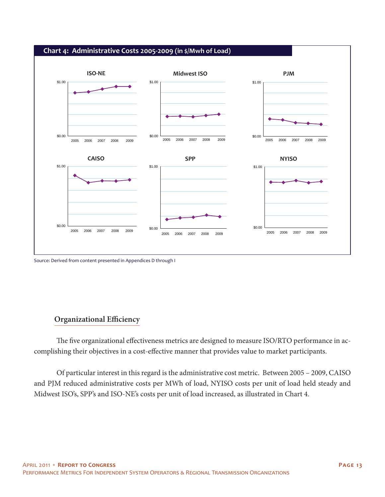

Source: Derived from content presented in Appendices D through I

### **Organizational Efficiency**

The five organizational effectiveness metrics are designed to measure ISO/RTO performance in accomplishing their objectives in a cost-effective manner that provides value to market participants.

 Of particular interest in this regard is the administrative cost metric. Between 2005 – 2009, CAISO and PJM reduced administrative costs per MWh of load, NYISO costs per unit of load held steady and Midwest ISO's, SPP's and ISO-NE's costs per unit of load increased, as illustrated in Chart 4.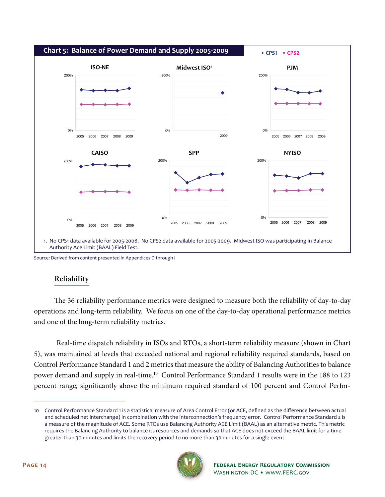

Source: Derived from content presented in Appendices D through I

## **Reliability**

The 36 reliability performance metrics were designed to measure both the reliability of day-to-day operations and long-term reliability. We focus on one of the day-to-day operational performance metrics and one of the long-term reliability metrics.

 Real-time dispatch reliability in ISOs and RTOs, a short-term reliability measure (shown in Chart 5), was maintained at levels that exceeded national and regional reliability required standards, based on Control Performance Standard 1 and 2 metrics that measure the ability of Balancing Authorities to balance power demand and supply in real-time.10 Control Performance Standard 1 results were in the 188 to 123 percent range, significantly above the minimum required standard of 100 percent and Control Perfor-

<sup>10</sup> Control Performance Standard 1 is a statistical measure of Area Control Error (or ACE, defined as the difference between actual and scheduled net interchange) in combination with the interconnection's frequency error. Control Performance Standard 2 is a measure of the magnitude of ACE. Some RTOs use Balancing Authority ACE Limit (BAAL) as an alternative metric. This metric requires the Balancing Authority to balance its resources and demands so that ACE does not exceed the BAAL limit for a time greater than 30 minutes and limits the recovery period to no more than 30 minutes for a single event.

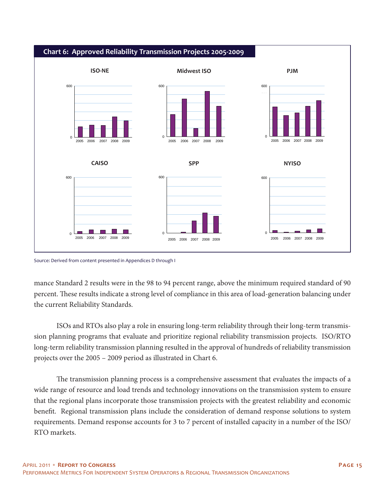

#### Source: Derived from content presented in Appendices D through I

mance Standard 2 results were in the 98 to 94 percent range, above the minimum required standard of 90 percent. These results indicate a strong level of compliance in this area of load-generation balancing under the current Reliability Standards.

 ISOs and RTOs also play a role in ensuring long-term reliability through their long-term transmission planning programs that evaluate and prioritize regional reliability transmission projects. ISO/RTO long-term reliability transmission planning resulted in the approval of hundreds of reliability transmission projects over the 2005 – 2009 period as illustrated in Chart 6.

The transmission planning process is a comprehensive assessment that evaluates the impacts of a wide range of resource and load trends and technology innovations on the transmission system to ensure that the regional plans incorporate those transmission projects with the greatest reliability and economic benefit. Regional transmission plans include the consideration of demand response solutions to system requirements. Demand response accounts for 3 to 7 percent of installed capacity in a number of the ISO/ RTO markets.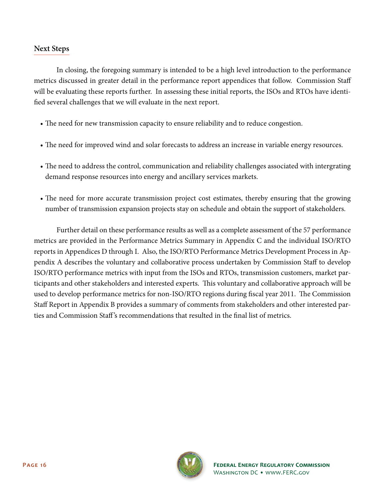### **Next Steps**

 In closing, the foregoing summary is intended to be a high level introduction to the performance metrics discussed in greater detail in the performance report appendices that follow. Commission Staff will be evaluating these reports further. In assessing these initial reports, the ISOs and RTOs have identified several challenges that we will evaluate in the next report.

- The need for new transmission capacity to ensure reliability and to reduce congestion.
- The need for improved wind and solar forecasts to address an increase in variable energy resources.
- The need to address the control, communication and reliability challenges associated with intergrating demand response resources into energy and ancillary services markets.
- The need for more accurate transmission project cost estimates, thereby ensuring that the growing number of transmission expansion projects stay on schedule and obtain the support of stakeholders.

 Further detail on these performance results as well as a complete assessment of the 57 performance metrics are provided in the Performance Metrics Summary in Appendix C and the individual ISO/RTO reports in Appendices D through I. Also, the ISO/RTO Performance Metrics Development Process in Appendix A describes the voluntary and collaborative process undertaken by Commission Staff to develop ISO/RTO performance metrics with input from the ISOs and RTOs, transmission customers, market participants and other stakeholders and interested experts. This voluntary and collaborative approach will be used to develop performance metrics for non-ISO/RTO regions during fiscal year 2011. The Commission Staff Report in Appendix B provides a summary of comments from stakeholders and other interested parties and Commission Staff's recommendations that resulted in the final list of metrics.